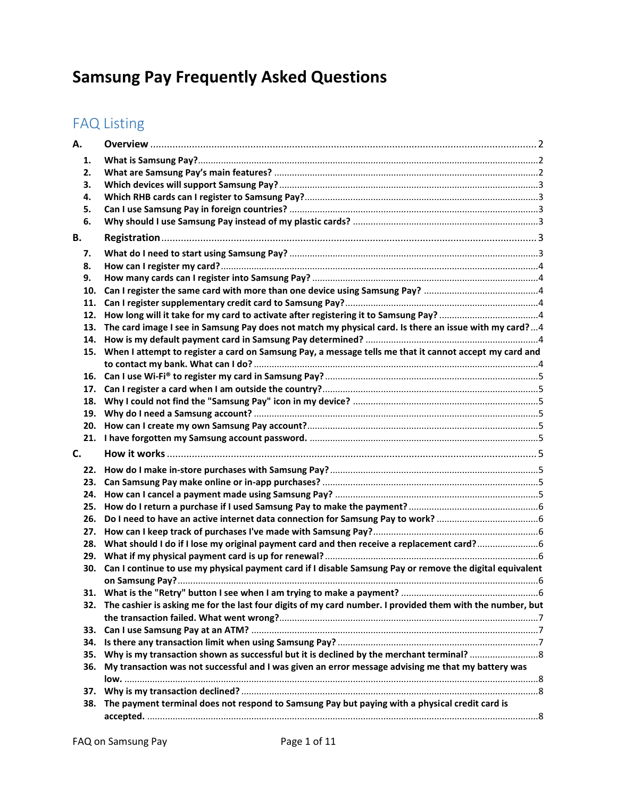# **Samsung Pay Frequently Asked Questions**

## FAQ Listing

| А.  |                                                                                                               |  |
|-----|---------------------------------------------------------------------------------------------------------------|--|
| 1.  |                                                                                                               |  |
| 2.  |                                                                                                               |  |
| З.  |                                                                                                               |  |
| 4.  |                                                                                                               |  |
| 5.  |                                                                                                               |  |
| 6.  |                                                                                                               |  |
| В.  |                                                                                                               |  |
|     |                                                                                                               |  |
| 7.  |                                                                                                               |  |
| 8.  |                                                                                                               |  |
| 9.  |                                                                                                               |  |
| 10. |                                                                                                               |  |
| 11. |                                                                                                               |  |
| 12. |                                                                                                               |  |
| 13. | The card image I see in Samsung Pay does not match my physical card. Is there an issue with my card?  4       |  |
| 14. |                                                                                                               |  |
|     | 15. When I attempt to register a card on Samsung Pay, a message tells me that it cannot accept my card and    |  |
|     |                                                                                                               |  |
|     |                                                                                                               |  |
| 17. |                                                                                                               |  |
| 18. |                                                                                                               |  |
|     |                                                                                                               |  |
|     |                                                                                                               |  |
|     |                                                                                                               |  |
| C.  |                                                                                                               |  |
| 22. |                                                                                                               |  |
| 23. |                                                                                                               |  |
| 24. |                                                                                                               |  |
| 25. |                                                                                                               |  |
| 26. |                                                                                                               |  |
| 27. |                                                                                                               |  |
| 28. | What should I do if I lose my original payment card and then receive a replacement card?                      |  |
|     |                                                                                                               |  |
| 30. | Can I continue to use my physical payment card if I disable Samsung Pay or remove the digital equivalent      |  |
|     |                                                                                                               |  |
|     |                                                                                                               |  |
|     | 32. The cashier is asking me for the last four digits of my card number. I provided them with the number, but |  |
|     |                                                                                                               |  |
| 33. |                                                                                                               |  |
| 34. |                                                                                                               |  |
| 35. |                                                                                                               |  |
| 36. | My transaction was not successful and I was given an error message advising me that my battery was            |  |
|     |                                                                                                               |  |
| 37. |                                                                                                               |  |
|     | 38. The payment terminal does not respond to Samsung Pay but paying with a physical credit card is            |  |
|     |                                                                                                               |  |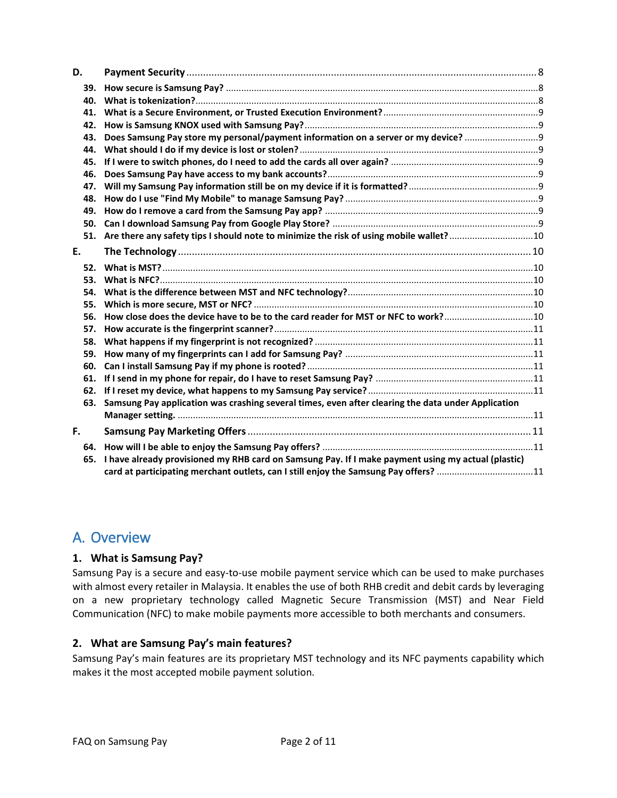| D.                                                                                                        |                                                                                                    |  |  |
|-----------------------------------------------------------------------------------------------------------|----------------------------------------------------------------------------------------------------|--|--|
| 39.                                                                                                       |                                                                                                    |  |  |
| 40.                                                                                                       |                                                                                                    |  |  |
| 41.                                                                                                       |                                                                                                    |  |  |
| 42.                                                                                                       |                                                                                                    |  |  |
| 43.                                                                                                       | Does Samsung Pay store my personal/payment information on a server or my device?                   |  |  |
| 44.                                                                                                       |                                                                                                    |  |  |
| 45.                                                                                                       |                                                                                                    |  |  |
| 46.                                                                                                       |                                                                                                    |  |  |
| 47.                                                                                                       |                                                                                                    |  |  |
| 48.                                                                                                       |                                                                                                    |  |  |
| 49.                                                                                                       |                                                                                                    |  |  |
|                                                                                                           |                                                                                                    |  |  |
|                                                                                                           |                                                                                                    |  |  |
| E.                                                                                                        |                                                                                                    |  |  |
|                                                                                                           |                                                                                                    |  |  |
| 53.                                                                                                       |                                                                                                    |  |  |
| 54.                                                                                                       |                                                                                                    |  |  |
| 55.                                                                                                       |                                                                                                    |  |  |
| 56.                                                                                                       |                                                                                                    |  |  |
| 57.                                                                                                       |                                                                                                    |  |  |
| 58.                                                                                                       |                                                                                                    |  |  |
| 59.                                                                                                       |                                                                                                    |  |  |
| 60.                                                                                                       |                                                                                                    |  |  |
| 61.                                                                                                       |                                                                                                    |  |  |
|                                                                                                           |                                                                                                    |  |  |
| 63.                                                                                                       | Samsung Pay application was crashing several times, even after clearing the data under Application |  |  |
|                                                                                                           |                                                                                                    |  |  |
| F.                                                                                                        |                                                                                                    |  |  |
|                                                                                                           |                                                                                                    |  |  |
| I have already provisioned my RHB card on Samsung Pay. If I make payment using my actual (plastic)<br>65. |                                                                                                    |  |  |
|                                                                                                           | card at participating merchant outlets, can I still enjoy the Samsung Pay offers? 11               |  |  |

## <span id="page-1-0"></span>A. Overview

## <span id="page-1-1"></span>**1. What is Samsung Pay?**

Samsung Pay is a secure and easy-to-use mobile payment service which can be used to make purchases with almost every retailer in Malaysia. It enables the use of both RHB credit and debit cards by leveraging on a new proprietary technology called Magnetic Secure Transmission (MST) and Near Field Communication (NFC) to make mobile payments more accessible to both merchants and consumers.

## <span id="page-1-2"></span>**2. What are Samsung Pay's main features?**

Samsung Pay's main features are its proprietary MST technology and its NFC payments capability which makes it the most accepted mobile payment solution.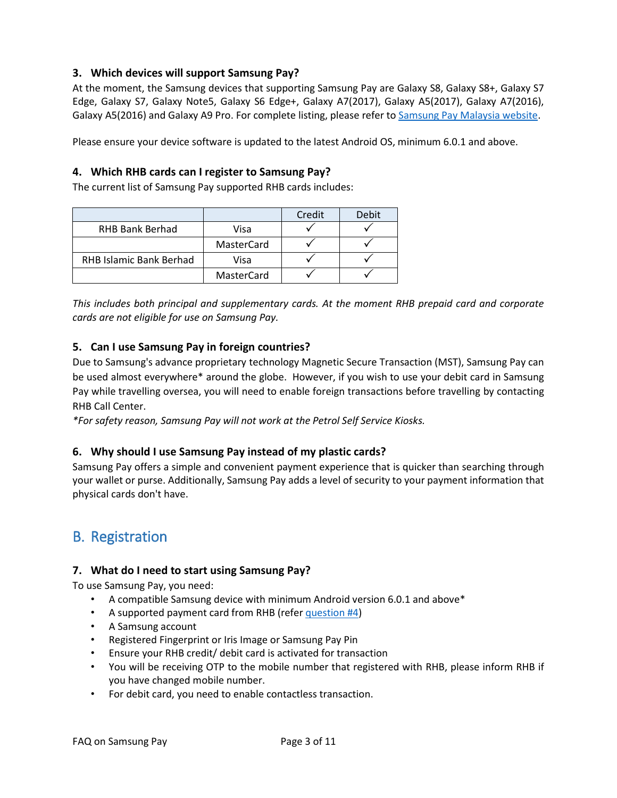## <span id="page-2-0"></span>**3. Which devices will support Samsung Pay?**

At the moment, the Samsung devices that supporting Samsung Pay are Galaxy S8, Galaxy S8+, Galaxy S7 Edge, Galaxy S7, Galaxy Note5, Galaxy S6 Edge+, Galaxy A7(2017), Galaxy A5(2017), Galaxy A7(2016), Galaxy A5(2016) and Galaxy A9 Pro. For complete listing, please refer t[o Samsung Pay Malaysia website.](http://www.samsung.com/my/samsungpay/)

Please ensure your device software is updated to the latest Android OS, minimum 6.0.1 and above.

## <span id="page-2-1"></span>**4. Which RHB cards can I register to Samsung Pay?**

The current list of Samsung Pay supported RHB cards includes:

|                         |            | Credit | Debit |
|-------------------------|------------|--------|-------|
| <b>RHB Bank Berhad</b>  | Visa       |        |       |
|                         | MasterCard |        |       |
| RHB Islamic Bank Berhad | Visa       |        |       |
|                         | MasterCard |        |       |

*This includes both principal and supplementary cards. At the moment RHB prepaid card and corporate cards are not eligible for use on Samsung Pay.*

## <span id="page-2-2"></span>**5. Can I use Samsung Pay in foreign countries?**

Due to Samsung's advance proprietary technology Magnetic Secure Transaction (MST), Samsung Pay can be used almost everywhere\* around the globe. However, if you wish to use your debit card in Samsung Pay while travelling oversea, you will need to enable foreign transactions before travelling by contacting RHB Call Center.

*\*For safety reason, Samsung Pay will not work at the Petrol Self Service Kiosks.*

## <span id="page-2-3"></span>**6. Why should I use Samsung Pay instead of my plastic cards?**

Samsung Pay offers a simple and convenient payment experience that is quicker than searching through your wallet or purse. Additionally, Samsung Pay adds a level of security to your payment information that physical cards don't have.

## <span id="page-2-4"></span>B. Registration

## <span id="page-2-5"></span>**7. What do I need to start using Samsung Pay?**

To use Samsung Pay, you need:

- A compatible Samsung device with minimum Android version 6.0.1 and above\*
- A supported payment card from RHB (refer [question #4\)](#page-2-1)
- A Samsung account
- Registered Fingerprint or Iris Image or Samsung Pay Pin
- Ensure your RHB credit/ debit card is activated for transaction
- You will be receiving OTP to the mobile number that registered with RHB, please inform RHB if you have changed mobile number.
- For debit card, you need to enable contactless transaction.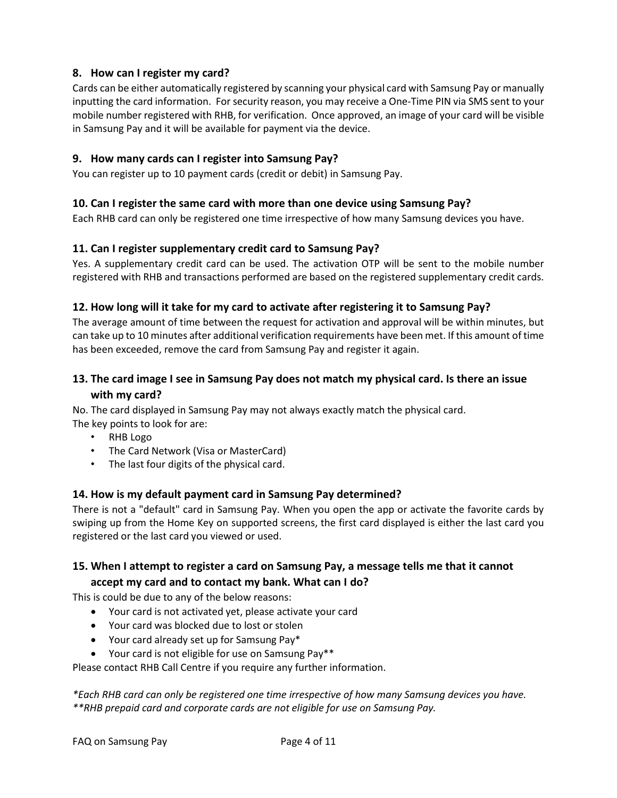## <span id="page-3-0"></span>**8. How can I register my card?**

Cards can be either automatically registered by scanning your physical card with Samsung Pay or manually inputting the card information. For security reason, you may receive a One-Time PIN via SMS sent to your mobile number registered with RHB, for verification. Once approved, an image of your card will be visible in Samsung Pay and it will be available for payment via the device.

## <span id="page-3-1"></span>**9. How many cards can I register into Samsung Pay?**

You can register up to 10 payment cards (credit or debit) in Samsung Pay.

## <span id="page-3-2"></span>**10. Can I register the same card with more than one device using Samsung Pay?**

Each RHB card can only be registered one time irrespective of how many Samsung devices you have.

## <span id="page-3-3"></span>**11. Can I register supplementary credit card to Samsung Pay?**

Yes. A supplementary credit card can be used. The activation OTP will be sent to the mobile number registered with RHB and transactions performed are based on the registered supplementary credit cards.

## <span id="page-3-4"></span>**12. How long will it take for my card to activate after registering it to Samsung Pay?**

The average amount of time between the request for activation and approval will be within minutes, but can take up to 10 minutes after additional verification requirements have been met. If this amount of time has been exceeded, remove the card from Samsung Pay and register it again.

## <span id="page-3-5"></span>**13. The card image I see in Samsung Pay does not match my physical card. Is there an issue with my card?**

No. The card displayed in Samsung Pay may not always exactly match the physical card. The key points to look for are:

- RHB Logo
- The Card Network (Visa or MasterCard)
- The last four digits of the physical card.

#### <span id="page-3-6"></span>**14. How is my default payment card in Samsung Pay determined?**

There is not a "default" card in Samsung Pay. When you open the app or activate the favorite cards by swiping up from the Home Key on supported screens, the first card displayed is either the last card you registered or the last card you viewed or used.

## <span id="page-3-7"></span>**15. When I attempt to register a card on Samsung Pay, a message tells me that it cannot accept my card and to contact my bank. What can I do?**

This is could be due to any of the below reasons:

- Your card is not activated yet, please activate your card
- Your card was blocked due to lost or stolen
- Your card already set up for Samsung Pay\*
- Your card is not eligible for use on Samsung Pay\*\*

Please contact RHB Call Centre if you require any further information.

*\*Each RHB card can only be registered one time irrespective of how many Samsung devices you have. \*\*RHB prepaid card and corporate cards are not eligible for use on Samsung Pay.*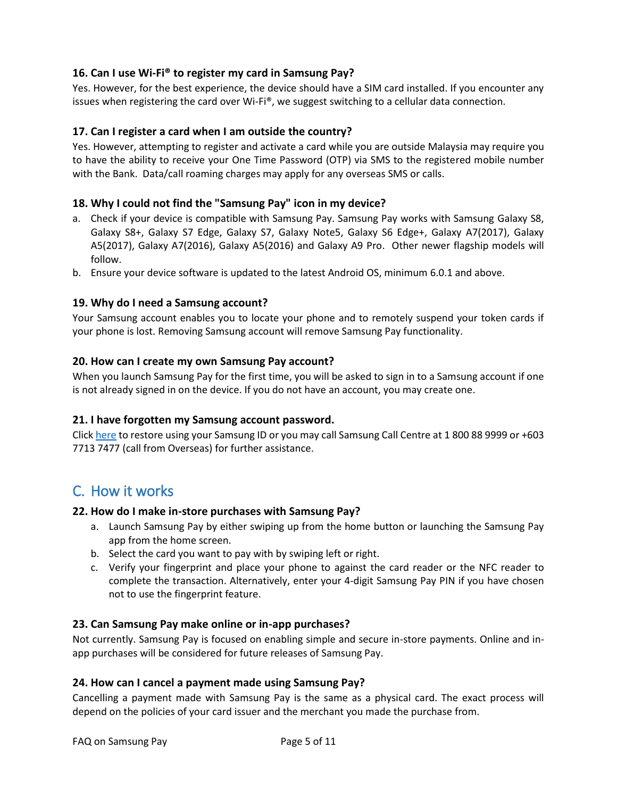## <span id="page-4-0"></span>**16. Can I use Wi-Fi® to register my card in Samsung Pay?**

Yes. However, for the best experience, the device should have a SIM card installed. If you encounter any issues when registering the card over Wi-Fi®, we suggest switching to a cellular data connection.

## <span id="page-4-1"></span>**17. Can I register a card when I am outside the country?**

Yes. However, attempting to register and activate a card while you are outside Malaysia may require you to have the ability to receive your One Time Password (OTP) via SMS to the registered mobile number with the Bank. Data/call roaming charges may apply for any overseas SMS or calls.

### <span id="page-4-2"></span>**18. Why I could not find the "Samsung Pay" icon in my device?**

- a. Check if your device is compatible with Samsung Pay. Samsung Pay works with Samsung Galaxy S8, Galaxy S8+, Galaxy S7 Edge, Galaxy S7, Galaxy Note5, Galaxy S6 Edge+, Galaxy A7(2017), Galaxy A5(2017), Galaxy A7(2016), Galaxy A5(2016) and Galaxy A9 Pro. Other newer flagship models will follow.
- b. Ensure your device software is updated to the latest Android OS, minimum 6.0.1 and above.

### <span id="page-4-3"></span>**19. Why do I need a Samsung account?**

Your Samsung account enables you to locate your phone and to remotely suspend your token cards if your phone is lost. Removing Samsung account will remove Samsung Pay functionality.

#### <span id="page-4-4"></span>**20. How can I create my own Samsung Pay account?**

When you launch Samsung Pay for the first time, you will be asked to sign in to a Samsung account if one is not already signed in on the device. If you do not have an account, you may create one.

#### <span id="page-4-5"></span>**21. I have forgotten my Samsung account password.**

Click [here](https://account.samsung.com/membership/service/getServieInfoList.do) to restore using your Samsung ID or you may call Samsung Call Centre at 1 800 88 9999 or +603 7713 7477 (call from Overseas) for further assistance.

## <span id="page-4-6"></span>C. How it works

#### <span id="page-4-7"></span>**22. How do I make in-store purchases with Samsung Pay?**

- a. Launch Samsung Pay by either swiping up from the home button or launching the Samsung Pay app from the home screen.
- b. Select the card you want to pay with by swiping left or right.
- c. Verify your fingerprint and place your phone to against the card reader or the NFC reader to complete the transaction. Alternatively, enter your 4-digit Samsung Pay PIN if you have chosen not to use the fingerprint feature.

#### <span id="page-4-8"></span>**23. Can Samsung Pay make online or in-app purchases?**

Not currently. Samsung Pay is focused on enabling simple and secure in-store payments. Online and inapp purchases will be considered for future releases of Samsung Pay.

#### <span id="page-4-9"></span>**24. How can I cancel a payment made using Samsung Pay?**

Cancelling a payment made with Samsung Pay is the same as a physical card. The exact process will depend on the policies of your card issuer and the merchant you made the purchase from.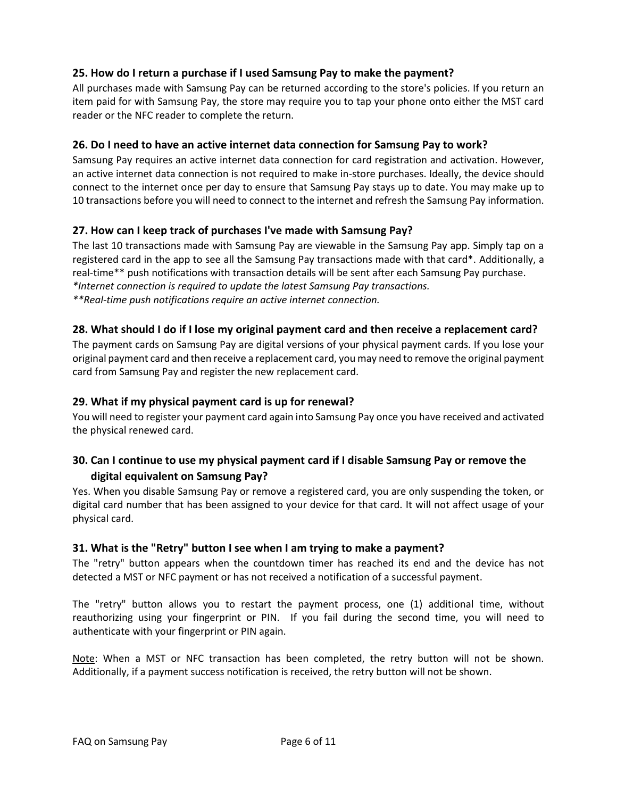## <span id="page-5-0"></span>**25. How do I return a purchase if I used Samsung Pay to make the payment?**

All purchases made with Samsung Pay can be returned according to the store's policies. If you return an item paid for with Samsung Pay, the store may require you to tap your phone onto either the MST card reader or the NFC reader to complete the return.

## <span id="page-5-1"></span>**26. Do I need to have an active internet data connection for Samsung Pay to work?**

Samsung Pay requires an active internet data connection for card registration and activation. However, an active internet data connection is not required to make in-store purchases. Ideally, the device should connect to the internet once per day to ensure that Samsung Pay stays up to date. You may make up to 10 transactions before you will need to connect to the internet and refresh the Samsung Pay information.

## <span id="page-5-2"></span>**27. How can I keep track of purchases I've made with Samsung Pay?**

The last 10 transactions made with Samsung Pay are viewable in the Samsung Pay app. Simply tap on a registered card in the app to see all the Samsung Pay transactions made with that card\*. Additionally, a real-time\*\* push notifications with transaction details will be sent after each Samsung Pay purchase. *\*Internet connection is required to update the latest Samsung Pay transactions. \*\*Real-time push notifications require an active internet connection.*

### <span id="page-5-3"></span>**28. What should I do if I lose my original payment card and then receive a replacement card?**

The payment cards on Samsung Pay are digital versions of your physical payment cards. If you lose your original payment card and then receive a replacement card, you may need to remove the original payment card from Samsung Pay and register the new replacement card.

#### <span id="page-5-4"></span>**29. What if my physical payment card is up for renewal?**

You will need to register your payment card again into Samsung Pay once you have received and activated the physical renewed card.

## <span id="page-5-5"></span>**30. Can I continue to use my physical payment card if I disable Samsung Pay or remove the digital equivalent on Samsung Pay?**

Yes. When you disable Samsung Pay or remove a registered card, you are only suspending the token, or digital card number that has been assigned to your device for that card. It will not affect usage of your physical card.

#### <span id="page-5-6"></span>**31. What is the "Retry" button I see when I am trying to make a payment?**

The "retry" button appears when the countdown timer has reached its end and the device has not detected a MST or NFC payment or has not received a notification of a successful payment.

The "retry" button allows you to restart the payment process, one (1) additional time, without reauthorizing using your fingerprint or PIN. If you fail during the second time, you will need to authenticate with your fingerprint or PIN again.

Note: When a MST or NFC transaction has been completed, the retry button will not be shown. Additionally, if a payment success notification is received, the retry button will not be shown.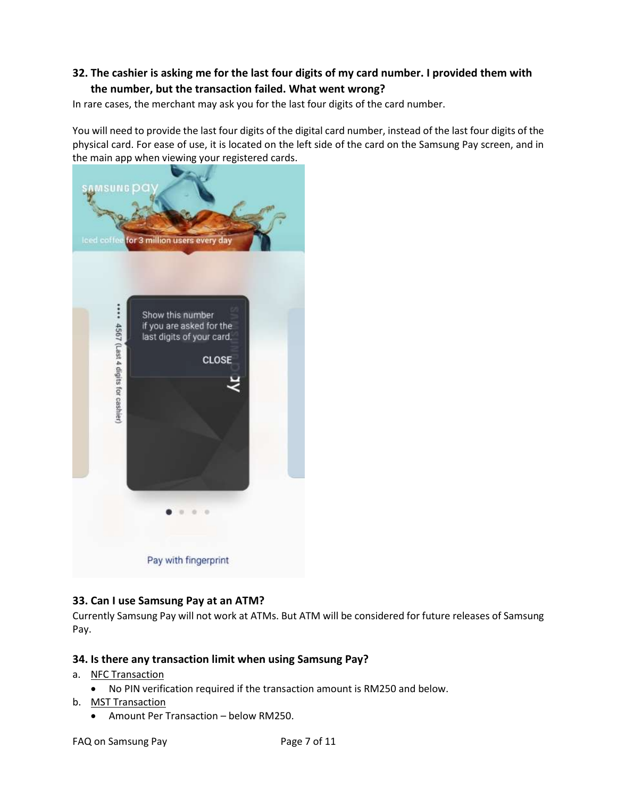## <span id="page-6-0"></span>**32. The cashier is asking me for the last four digits of my card number. I provided them with the number, but the transaction failed. What went wrong?**

In rare cases, the merchant may ask you for the last four digits of the card number.

You will need to provide the last four digits of the digital card number, instead of the last four digits of the physical card. For ease of use, it is located on the left side of the card on the Samsung Pay screen, and in the main app when viewing your registered cards.



## <span id="page-6-1"></span>**33. Can I use Samsung Pay at an ATM?**

Currently Samsung Pay will not work at ATMs. But ATM will be considered for future releases of Samsung Pay.

## <span id="page-6-2"></span>**34. Is there any transaction limit when using Samsung Pay?**

- a. NFC Transaction
	- No PIN verification required if the transaction amount is RM250 and below.
- b. MST Transaction
	- Amount Per Transaction below RM250.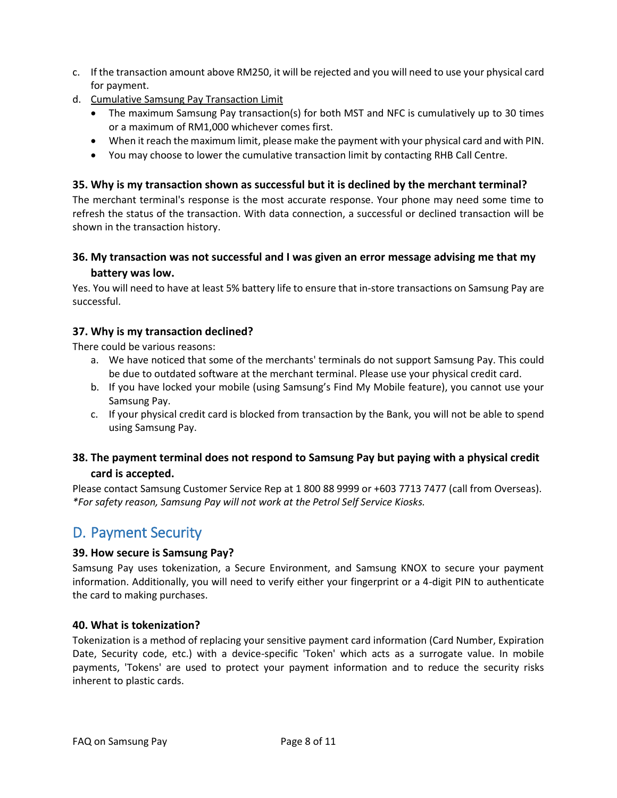- c. If the transaction amount above RM250, it will be rejected and you will need to use your physical card for payment.
- d. Cumulative Samsung Pay Transaction Limit
	- The maximum Samsung Pay transaction(s) for both MST and NFC is cumulatively up to 30 times or a maximum of RM1,000 whichever comes first.
	- When it reach the maximum limit, please make the payment with your physical card and with PIN.
	- You may choose to lower the cumulative transaction limit by contacting RHB Call Centre.

## <span id="page-7-0"></span>**35. Why is my transaction shown as successful but it is declined by the merchant terminal?**

The merchant terminal's response is the most accurate response. Your phone may need some time to refresh the status of the transaction. With data connection, a successful or declined transaction will be shown in the transaction history.

## <span id="page-7-1"></span>**36. My transaction was not successful and I was given an error message advising me that my battery was low.**

Yes. You will need to have at least 5% battery life to ensure that in-store transactions on Samsung Pay are successful.

## <span id="page-7-2"></span>**37. Why is my transaction declined?**

There could be various reasons:

- a. We have noticed that some of the merchants' terminals do not support Samsung Pay. This could be due to outdated software at the merchant terminal. Please use your physical credit card.
- b. If you have locked your mobile (using Samsung's Find My Mobile feature), you cannot use your Samsung Pay.
- c. If your physical credit card is blocked from transaction by the Bank, you will not be able to spend using Samsung Pay.

## <span id="page-7-3"></span>**38. The payment terminal does not respond to Samsung Pay but paying with a physical credit card is accepted.**

Please contact Samsung Customer Service Rep at 1 800 88 9999 or +603 7713 7477 (call from Overseas). *\*For safety reason, Samsung Pay will not work at the Petrol Self Service Kiosks.*

## <span id="page-7-4"></span>D. Payment Security

## <span id="page-7-5"></span>**39. How secure is Samsung Pay?**

Samsung Pay uses tokenization, a Secure Environment, and Samsung KNOX to secure your payment information. Additionally, you will need to verify either your fingerprint or a 4-digit PIN to authenticate the card to making purchases.

#### <span id="page-7-6"></span>**40. What is tokenization?**

Tokenization is a method of replacing your sensitive payment card information (Card Number, Expiration Date, Security code, etc.) with a device-specific 'Token' which acts as a surrogate value. In mobile payments, 'Tokens' are used to protect your payment information and to reduce the security risks inherent to plastic cards.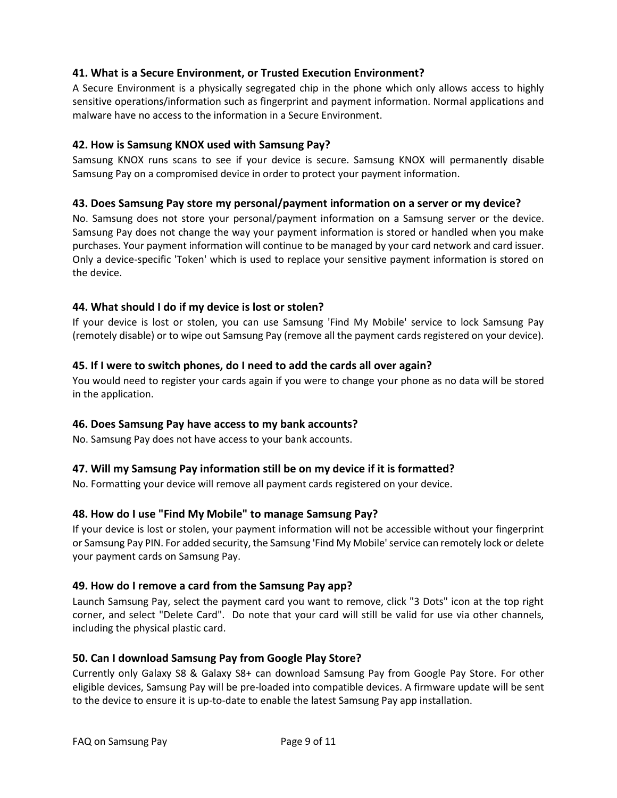## <span id="page-8-0"></span>**41. What is a Secure Environment, or Trusted Execution Environment?**

A Secure Environment is a physically segregated chip in the phone which only allows access to highly sensitive operations/information such as fingerprint and payment information. Normal applications and malware have no access to the information in a Secure Environment.

### <span id="page-8-1"></span>**42. How is Samsung KNOX used with Samsung Pay?**

Samsung KNOX runs scans to see if your device is secure. Samsung KNOX will permanently disable Samsung Pay on a compromised device in order to protect your payment information.

### <span id="page-8-2"></span>**43. Does Samsung Pay store my personal/payment information on a server or my device?**

No. Samsung does not store your personal/payment information on a Samsung server or the device. Samsung Pay does not change the way your payment information is stored or handled when you make purchases. Your payment information will continue to be managed by your card network and card issuer. Only a device-specific 'Token' which is used to replace your sensitive payment information is stored on the device.

## <span id="page-8-3"></span>**44. What should I do if my device is lost or stolen?**

If your device is lost or stolen, you can use Samsung 'Find My Mobile' service to lock Samsung Pay (remotely disable) or to wipe out Samsung Pay (remove all the payment cards registered on your device).

### <span id="page-8-4"></span>**45. If I were to switch phones, do I need to add the cards all over again?**

You would need to register your cards again if you were to change your phone as no data will be stored in the application.

#### <span id="page-8-5"></span>**46. Does Samsung Pay have access to my bank accounts?**

No. Samsung Pay does not have access to your bank accounts.

## <span id="page-8-6"></span>**47. Will my Samsung Pay information still be on my device if it is formatted?**

No. Formatting your device will remove all payment cards registered on your device.

## <span id="page-8-7"></span>**48. How do I use "Find My Mobile" to manage Samsung Pay?**

If your device is lost or stolen, your payment information will not be accessible without your fingerprint or Samsung Pay PIN. For added security, the Samsung 'Find My Mobile' service can remotely lock or delete your payment cards on Samsung Pay.

#### <span id="page-8-8"></span>**49. How do I remove a card from the Samsung Pay app?**

Launch Samsung Pay, select the payment card you want to remove, click "3 Dots" icon at the top right corner, and select "Delete Card". Do note that your card will still be valid for use via other channels, including the physical plastic card.

#### <span id="page-8-9"></span>**50. Can I download Samsung Pay from Google Play Store?**

Currently only Galaxy S8 & Galaxy S8+ can download Samsung Pay from Google Pay Store. For other eligible devices, Samsung Pay will be pre-loaded into compatible devices. A firmware update will be sent to the device to ensure it is up-to-date to enable the latest Samsung Pay app installation.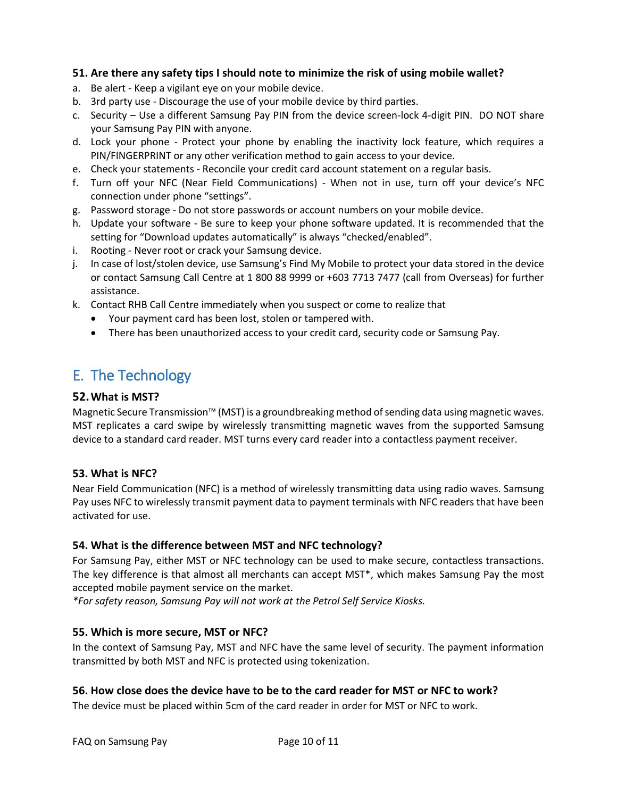## <span id="page-9-0"></span>**51. Are there any safety tips I should note to minimize the risk of using mobile wallet?**

- a. Be alert Keep a vigilant eye on your mobile device.
- b. 3rd party use Discourage the use of your mobile device by third parties.
- c. Security Use a different Samsung Pay PIN from the device screen-lock 4-digit PIN. DO NOT share your Samsung Pay PIN with anyone.
- d. Lock your phone Protect your phone by enabling the inactivity lock feature, which requires a PIN/FINGERPRINT or any other verification method to gain access to your device.
- e. Check your statements Reconcile your credit card account statement on a regular basis.
- f. Turn off your NFC (Near Field Communications) When not in use, turn off your device's NFC connection under phone "settings".
- g. Password storage Do not store passwords or account numbers on your mobile device.
- h. Update your software Be sure to keep your phone software updated. It is recommended that the setting for "Download updates automatically" is always "checked/enabled".
- i. Rooting Never root or crack your Samsung device.
- j. In case of lost/stolen device, use Samsung's Find My Mobile to protect your data stored in the device or contact Samsung Call Centre at 1 800 88 9999 or +603 7713 7477 (call from Overseas) for further assistance.
- k. Contact RHB Call Centre immediately when you suspect or come to realize that
	- Your payment card has been lost, stolen or tampered with.
	- There has been unauthorized access to your credit card, security code or Samsung Pay.

## <span id="page-9-1"></span>E. The Technology

### <span id="page-9-2"></span>**52.What is MST?**

Magnetic Secure Transmission™ (MST) is a groundbreaking method of sending data using magnetic waves. MST replicates a card swipe by wirelessly transmitting magnetic waves from the supported Samsung device to a standard card reader. MST turns every card reader into a contactless payment receiver.

## <span id="page-9-3"></span>**53. What is NFC?**

Near Field Communication (NFC) is a method of wirelessly transmitting data using radio waves. Samsung Pay uses NFC to wirelessly transmit payment data to payment terminals with NFC readers that have been activated for use.

## <span id="page-9-4"></span>**54. What is the difference between MST and NFC technology?**

For Samsung Pay, either MST or NFC technology can be used to make secure, contactless transactions. The key difference is that almost all merchants can accept MST\*, which makes Samsung Pay the most accepted mobile payment service on the market.

*\*For safety reason, Samsung Pay will not work at the Petrol Self Service Kiosks.*

## <span id="page-9-5"></span>**55. Which is more secure, MST or NFC?**

In the context of Samsung Pay, MST and NFC have the same level of security. The payment information transmitted by both MST and NFC is protected using tokenization.

## <span id="page-9-6"></span>**56. How close does the device have to be to the card reader for MST or NFC to work?**

The device must be placed within 5cm of the card reader in order for MST or NFC to work.